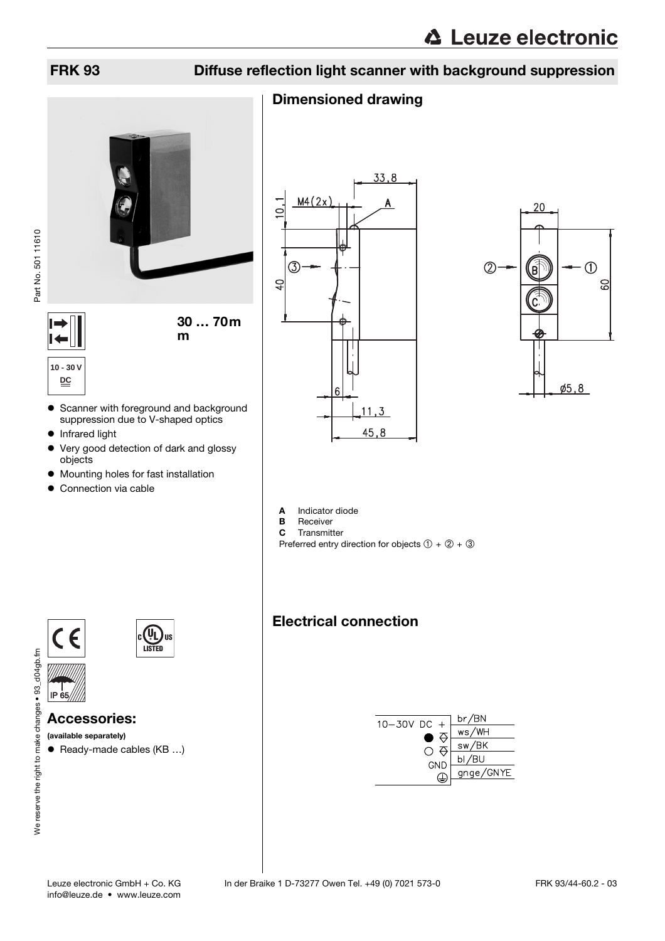# FRK 93 Diffuse reflection light scanner with background suppression

# Dimensioned drawing



**10 - 30 V**

• Scanner with foreground and background suppression due to V-shaped optics

m

• Infrared light

**DC**

- Very good detection of dark and glossy objects
- $\bullet$  Mounting holes for fast installation
- $\bullet$  Connection via cable





A Indicator diode<br>B Receiver

- **B** Receiver<br>**C** Transmit
- Transmitter Preferred entry direction for objects  $(1) + (2) + (3)$

br/BN

ws/WH

 $sw/BK$ 

 $bl/BU$ 

gnge/GNYE

⇔

 $\circ$   $\circ$ 

GND

 $\bigoplus$ 

 $10 - 30V$  DC +

Electrical connection

# $\epsilon$   $\epsilon$ IP  $\ddot{\epsilon}$



Accessories:

(available separately)

 $\bullet$  Ready-made cables (KB ...)

| Leuze electronic GmbH + Co. KG |  |
|--------------------------------|--|
| info@leuze.de • www.leuze.com  |  |